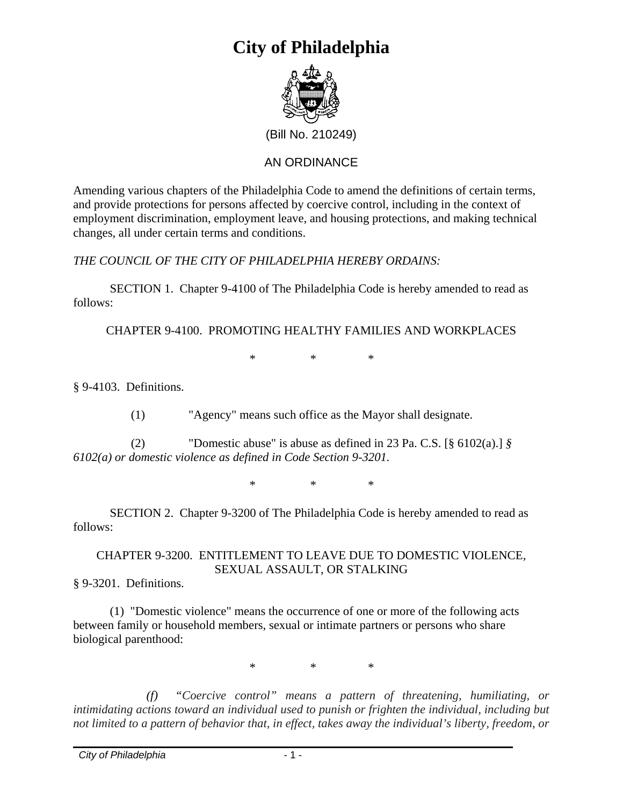

(Bill No. 210249)

### AN ORDINANCE

Amending various chapters of the Philadelphia Code to amend the definitions of certain terms, and provide protections for persons affected by coercive control, including in the context of employment discrimination, employment leave, and housing protections, and making technical changes, all under certain terms and conditions.

*THE COUNCIL OF THE CITY OF PHILADELPHIA HEREBY ORDAINS:* 

SECTION 1. Chapter 9-4100 of The Philadelphia Code is hereby amended to read as follows:

CHAPTER 9-4100. PROMOTING HEALTHY FAMILIES AND WORKPLACES

*\* \* \** 

§ 9-4103. Definitions.

(1) "Agency" means such office as the Mayor shall designate.

 (2) "Domestic abuse" is abuse as defined in 23 Pa. C.S. [§ 6102(a).] *§ 6102(a) or domestic violence as defined in Code Section 9-3201.* 

*\* \* \** 

SECTION 2. Chapter 9-3200 of The Philadelphia Code is hereby amended to read as follows:

CHAPTER 9-3200. ENTITLEMENT TO LEAVE DUE TO DOMESTIC VIOLENCE, SEXUAL ASSAULT, OR STALKING

§ 9-3201. Definitions.

(1) "Domestic violence" means the occurrence of one or more of the following acts between family or household members, sexual or intimate partners or persons who share biological parenthood:

*\* \* \** 

*(f) "Coercive control" means a pattern of threatening, humiliating, or intimidating actions toward an individual used to punish or frighten the individual, including but not limited to a pattern of behavior that, in effect, takes away the individual's liberty, freedom, or*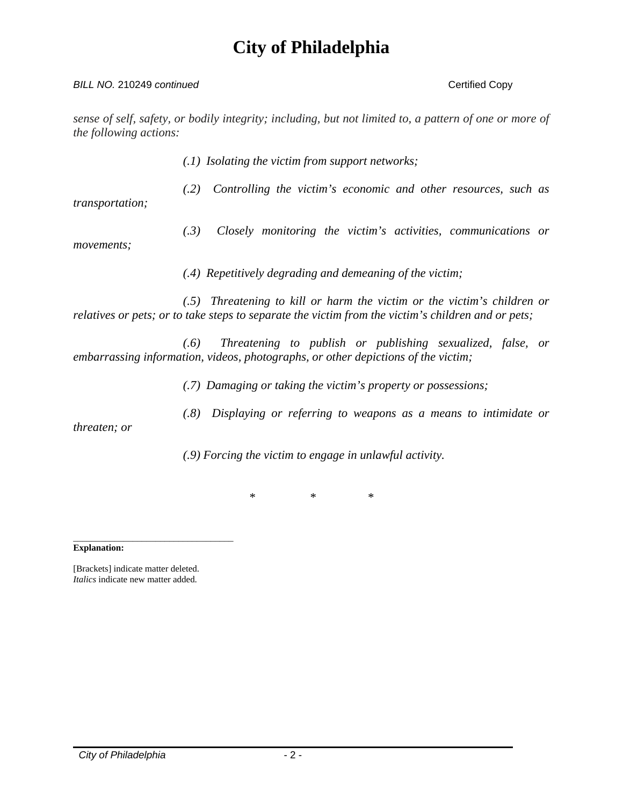#### **BILL NO. 210249** continued Certified Copy

*sense of self, safety, or bodily integrity; including, but not limited to, a pattern of one or more of the following actions:* 

*(.1) Isolating the victim from support networks;* 

*(.2) Controlling the victim's economic and other resources, such as transportation;* 

*(.3) Closely monitoring the victim's activities, communications or* 

*movements;* 

*(.4) Repetitively degrading and demeaning of the victim;* 

*(.5) Threatening to kill or harm the victim or the victim's children or relatives or pets; or to take steps to separate the victim from the victim's children and or pets;* 

*(.6) Threatening to publish or publishing sexualized, false, or embarrassing information, videos, photographs, or other depictions of the victim;* 

*(.7) Damaging or taking the victim's property or possessions;* 

*(.8) Displaying or referring to weapons as a means to intimidate or* 

*threaten; or* 

*(.9) Forcing the victim to engage in unlawful activity.* 

*\* \* \** 

#### $\overline{\phantom{a}}$  , and the set of the set of the set of the set of the set of the set of the set of the set of the set of the set of the set of the set of the set of the set of the set of the set of the set of the set of the s **Explanation:**

<sup>[</sup>Brackets] indicate matter deleted. *Italics* indicate new matter added.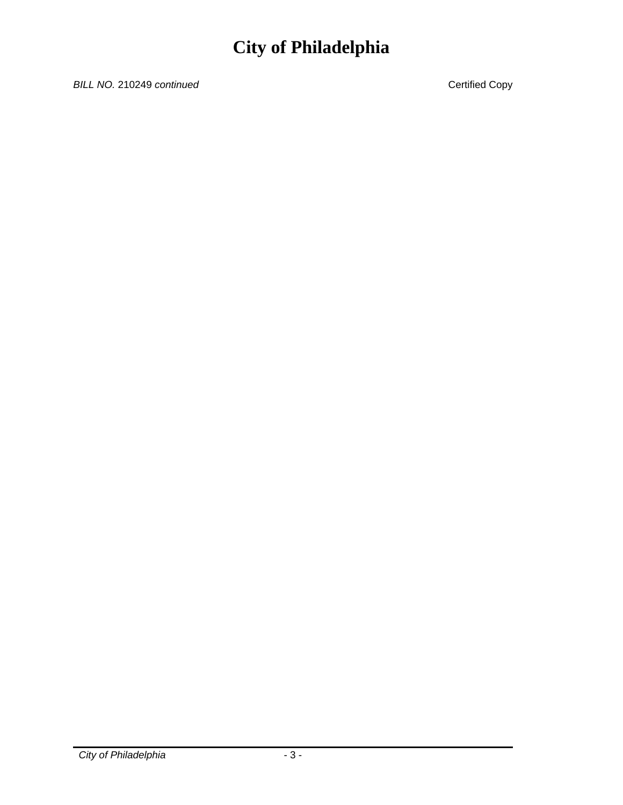**BILL NO. 210249 continued** Copy